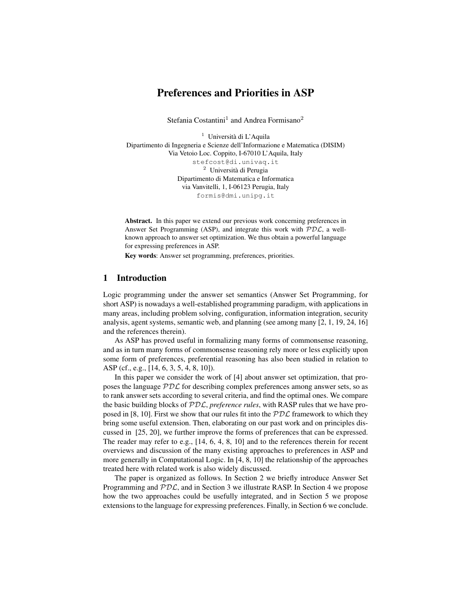# Preferences and Priorities in ASP

Stefania Costantini<sup>1</sup> and Andrea Formisano<sup>2</sup>

 $<sup>1</sup>$  Università di L'Aquila</sup> Dipartimento di Ingegneria e Scienze dell'Informazione e Matematica (DISIM) Via Vetoio Loc. Coppito, I-67010 L'Aquila, Italy stefcost@di.univaq.it <sup>2</sup> Università di Perugia Dipartimento di Matematica e Informatica via Vanvitelli, 1, I-06123 Perugia, Italy formis@dmi.unipg.it

Abstract. In this paper we extend our previous work concerning preferences in Answer Set Programming (ASP), and integrate this work with  $PDL$ , a wellknown approach to answer set optimization. We thus obtain a powerful language for expressing preferences in ASP.

Key words: Answer set programming, preferences, priorities.

## 1 Introduction

Logic programming under the answer set semantics (Answer Set Programming, for short ASP) is nowadays a well-established programming paradigm, with applications in many areas, including problem solving, configuration, information integration, security analysis, agent systems, semantic web, and planning (see among many [2, 1, 19, 24, 16] and the references therein).

As ASP has proved useful in formalizing many forms of commonsense reasoning, and as in turn many forms of commonsense reasoning rely more or less explicitly upon some form of preferences, preferential reasoning has also been studied in relation to ASP (cf., e.g., [14, 6, 3, 5, 4, 8, 10]).

In this paper we consider the work of [4] about answer set optimization, that proposes the language  $PDL$  for describing complex preferences among answer sets, so as to rank answer sets according to several criteria, and find the optimal ones. We compare the basic building blocks of PDL, *preference rules*, with RASP rules that we have proposed in [8, 10]. First we show that our rules fit into the  $PDL$  framework to which they bring some useful extension. Then, elaborating on our past work and on principles discussed in [25, 20], we further improve the forms of preferences that can be expressed. The reader may refer to e.g., [14, 6, 4, 8, 10] and to the references therein for recent overviews and discussion of the many existing approaches to preferences in ASP and more generally in Computational Logic. In [4, 8, 10] the relationship of the approaches treated here with related work is also widely discussed.

The paper is organized as follows. In Section 2 we briefly introduce Answer Set Programming and  $PDL$ , and in Section 3 we illustrate RASP. In Section 4 we propose how the two approaches could be usefully integrated, and in Section 5 we propose extensions to the language for expressing preferences. Finally, in Section 6 we conclude.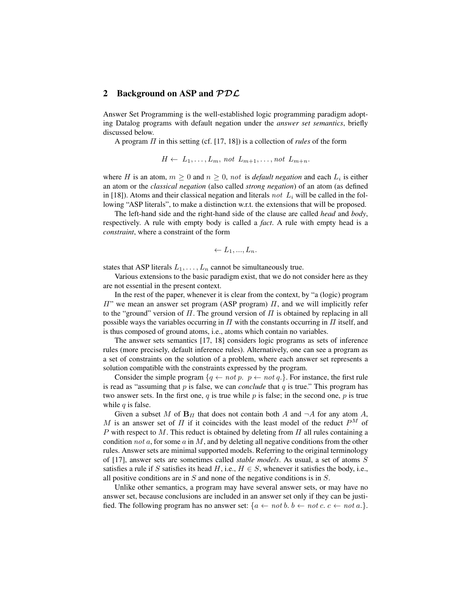#### 2 Background on ASP and  $PDC$

Answer Set Programming is the well-established logic programming paradigm adopting Datalog programs with default negation under the *answer set semantics*, briefly discussed below.

A program Π in this setting (cf. [17, 18]) is a collection of *rules* of the form

 $H \leftarrow L_1, \ldots, L_m$ , not  $L_{m+1}, \ldots, \text{not } L_{m+n}$ .

where *H* is an atom,  $m \geq 0$  and  $n \geq 0$ , not is *default negation* and each  $L_i$  is either an atom or the *classical negation* (also called *strong negation*) of an atom (as defined in [18]). Atoms and their classical negation and literals not  $L_i$  will be called in the following "ASP literals", to make a distinction w.r.t. the extensions that will be proposed.

The left-hand side and the right-hand side of the clause are called *head* and *body*, respectively. A rule with empty body is called a *fact*. A rule with empty head is a *constraint*, where a constraint of the form

$$
\leftarrow L_1, ..., L_n.
$$

states that ASP literals  $L_1, \ldots, L_n$  cannot be simultaneously true.

Various extensions to the basic paradigm exist, that we do not consider here as they are not essential in the present context.

In the rest of the paper, whenever it is clear from the context, by "a (logic) program  $\Pi$ " we mean an answer set program (ASP program)  $\Pi$ , and we will implicitly refer to the "ground" version of  $\Pi$ . The ground version of  $\Pi$  is obtained by replacing in all possible ways the variables occurring in  $\Pi$  with the constants occurring in  $\Pi$  itself, and is thus composed of ground atoms, i.e., atoms which contain no variables.

The answer sets semantics [17, 18] considers logic programs as sets of inference rules (more precisely, default inference rules). Alternatively, one can see a program as a set of constraints on the solution of a problem, where each answer set represents a solution compatible with the constraints expressed by the program.

Consider the simple program  $\{q \leftarrow not p$ .  $p \leftarrow not q$ . For instance, the first rule is read as "assuming that  $p$  is false, we can *conclude* that  $q$  is true." This program has two answer sets. In the first one,  $q$  is true while  $p$  is false; in the second one,  $p$  is true while  $q$  is false.

Given a subset M of  $B_{\Pi}$  that does not contain both A and  $\neg A$  for any atom A, M is an answer set of  $\Pi$  if it coincides with the least model of the reduct  $P^M$  of P with respect to M. This reduct is obtained by deleting from  $\Pi$  all rules containing a condition not  $a$ , for some  $a$  in  $M$ , and by deleting all negative conditions from the other rules. Answer sets are minimal supported models. Referring to the original terminology of [17], answer sets are sometimes called *stable models*. As usual, a set of atoms S satisfies a rule if S satisfies its head H, i.e.,  $H \in S$ , whenever it satisfies the body, i.e., all positive conditions are in  $S$  and none of the negative conditions is in  $S$ .

Unlike other semantics, a program may have several answer sets, or may have no answer set, because conclusions are included in an answer set only if they can be justified. The following program has no answer set:  $\{a \leftarrow not\ b.\ b \leftarrow not\ c.\ c \leftarrow not\ a.\}$ .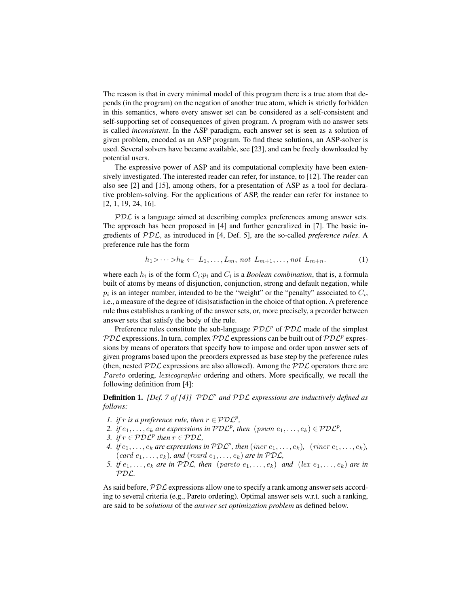The reason is that in every minimal model of this program there is a true atom that depends (in the program) on the negation of another true atom, which is strictly forbidden in this semantics, where every answer set can be considered as a self-consistent and self-supporting set of consequences of given program. A program with no answer sets is called *inconsistent*. In the ASP paradigm, each answer set is seen as a solution of given problem, encoded as an ASP program. To find these solutions, an ASP-solver is used. Several solvers have became available, see [23], and can be freely downloaded by potential users.

The expressive power of ASP and its computational complexity have been extensively investigated. The interested reader can refer, for instance, to [12]. The reader can also see [2] and [15], among others, for a presentation of ASP as a tool for declarative problem-solving. For the applications of ASP, the reader can refer for instance to [2, 1, 19, 24, 16].

PDL is a language aimed at describing complex preferences among answer sets. The approach has been proposed in [4] and further generalized in [7]. The basic ingredients of PDL, as introduced in [4, Def. 5], are the so-called *preference rules*. A preference rule has the form

$$
h_1 > \cdots > h_k \leftarrow L_1, \ldots, L_m, \text{ not } L_{m+1}, \ldots, \text{ not } L_{m+n}.
$$
 (1)

where each  $h_i$  is of the form  $C_i$ : $p_i$  and  $C_i$  is a *Boolean combination*, that is, a formula built of atoms by means of disjunction, conjunction, strong and default negation, while  $p_i$  is an integer number, intended to be the "weight" or the "penalty" associated to  $C_i$ , i.e., a measure of the degree of (dis)satisfaction in the choice of that option. A preference rule thus establishes a ranking of the answer sets, or, more precisely, a preorder between answer sets that satisfy the body of the rule.

Preference rules constitute the sub-language  $P D L^p$  of  $P D L$  made of the simplest PDL expressions. In turn, complex PDL expressions can be built out of PDL<sup>p</sup> expressions by means of operators that specify how to impose and order upon answer sets of given programs based upon the preorders expressed as base step by the preference rules (then, nested  $PDL$  expressions are also allowed). Among the  $PDL$  operators there are Pareto ordering, *lexicographic* ordering and others. More specifically, we recall the following definition from [4]:

**Definition 1.** *[Def. 7 of [4]]*  $P D L^p$  and  $P D L$  expressions are inductively defined as *follows:*

- *1. if r is a preference rule, then*  $r \in \mathcal{PDL}^p$ ,
- 2. if  $e_1, \ldots, e_k$  are expressions in  $P D \mathcal{L}^p$ , then  $(psum e_1, \ldots, e_k) \in \mathcal{P} D \mathcal{L}^p$ ,
- *3.* if  $r \in \mathcal{PDL}^p$  then  $r \in \mathcal{PDL}$ ,
- 4. if  $e_1, \ldots, e_k$  are expressions in  $\mathcal{PDL}^p$ , then  $(incr \, e_1, \ldots, e_k)$ ,  $(rm \, c \, e_1, \ldots, e_k)$ ,  $(card e_1, \ldots, e_k)$ *, and*  $(rcard e_1, \ldots, e_k)$  *are in*  $PDL$ *,*
- *5. if*  $e_1, \ldots, e_k$  *are in PDC, then* (pareto  $e_1, \ldots, e_k$ ) *and* (lex  $e_1, \ldots, e_k$ ) *are in* PDL*.*

As said before,  $PDL$  expressions allow one to specify a rank among answer sets according to several criteria (e.g., Pareto ordering). Optimal answer sets w.r.t. such a ranking, are said to be *solutions* of the *answer set optimization problem* as defined below.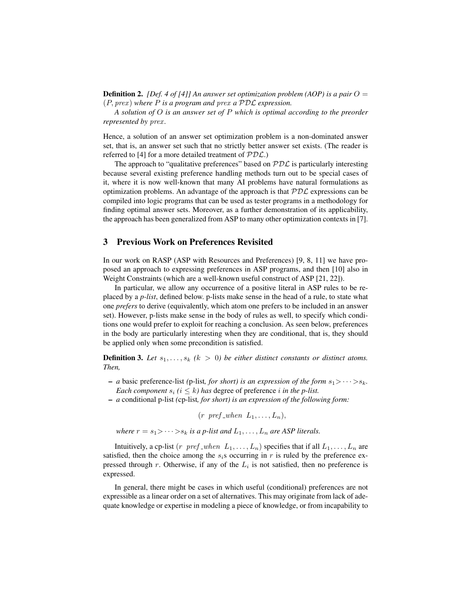**Definition 2.** *[Def. 4 of [4]] An answer set optimization problem (AOP) is a pair*  $O =$ (P, prex ) *where* P *is a program and* prex *a* PDL *expression.*

*A solution of* O *is an answer set of* P *which is optimal according to the preorder represented by prex.* 

Hence, a solution of an answer set optimization problem is a non-dominated answer set, that is, an answer set such that no strictly better answer set exists. (The reader is referred to [4] for a more detailed treatment of  $PDC$ .)

The approach to "qualitative preferences" based on  $PDL$  is particularly interesting because several existing preference handling methods turn out to be special cases of it, where it is now well-known that many AI problems have natural formulations as optimization problems. An advantage of the approach is that  $PDL$  expressions can be compiled into logic programs that can be used as tester programs in a methodology for finding optimal answer sets. Moreover, as a further demonstration of its applicability, the approach has been generalized from ASP to many other optimization contexts in [7].

### 3 Previous Work on Preferences Revisited

In our work on RASP (ASP with Resources and Preferences) [9, 8, 11] we have proposed an approach to expressing preferences in ASP programs, and then [10] also in Weight Constraints (which are a well-known useful construct of ASP [21, 22]).

In particular, we allow any occurrence of a positive literal in ASP rules to be replaced by a *p-list*, defined below. p-lists make sense in the head of a rule, to state what one *prefers* to derive (equivalently, which atom one prefers to be included in an answer set). However, p-lists make sense in the body of rules as well, to specify which conditions one would prefer to exploit for reaching a conclusion. As seen below, preferences in the body are particularly interesting when they are conditional, that is, they should be applied only when some precondition is satisfied.

**Definition 3.** Let  $s_1, \ldots, s_k$  ( $k > 0$ ) be either distinct constants or distinct atoms. *Then,*

- $a$  basic preference-list (p-list, for short) is an expression of the form  $s_1 > \cdots > s_k$ . *Each component*  $s_i$  ( $i < k$ ) has degree of preference i in the p-list.
- *a* conditional p-list *(*cp-list*, for short) is an expression of the following form:*

 $(r \text{pref\_when } L_1,\ldots,L_n),$ 

*where*  $r = s_1$  >  $\cdots$  >  $s_k$  *is a p-list and*  $L_1$ ,  $\cdots$ ,  $L_n$  *are ASP literals.* 

Intuitively, a cp-list (r pref when  $L_1, \ldots, L_n$ ) specifies that if all  $L_1, \ldots, L_n$  are satisfied, then the choice among the  $s_i$ s occurring in r is ruled by the preference expressed through r. Otherwise, if any of the  $L_i$  is not satisfied, then no preference is expressed.

In general, there might be cases in which useful (conditional) preferences are not expressible as a linear order on a set of alternatives. This may originate from lack of adequate knowledge or expertise in modeling a piece of knowledge, or from incapability to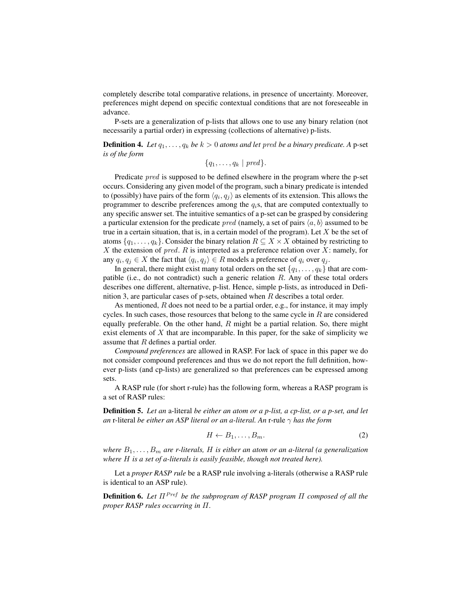completely describe total comparative relations, in presence of uncertainty. Moreover, preferences might depend on specific contextual conditions that are not foreseeable in advance.

P-sets are a generalization of p-lists that allows one to use any binary relation (not necessarily a partial order) in expressing (collections of alternative) p-lists.

**Definition 4.** *Let*  $q_1, \ldots, q_k$  *be*  $k > 0$  *atoms and let pred be a binary predicate.* A p-set *is of the form*

 $\{q_1, \ldots, q_k \mid pred\}.$ 

Predicate pred is supposed to be defined elsewhere in the program where the p-set occurs. Considering any given model of the program, such a binary predicate is intended to (possibly) have pairs of the form  $\langle q_i, q_j \rangle$  as elements of its extension. This allows the programmer to describe preferences among the  $q_i$ s, that are computed contextually to any specific answer set. The intuitive semantics of a p-set can be grasped by considering a particular extension for the predicate *pred* (namely, a set of pairs  $\langle a, b \rangle$  assumed to be true in a certain situation, that is, in a certain model of the program). Let  $X$  be the set of atoms  $\{q_1, \ldots, q_k\}$ . Consider the binary relation  $R \subseteq X \times X$  obtained by restricting to  $X$  the extension of  $pred.$   $R$  is interpreted as a preference relation over  $X$ : namely, for any  $q_i, q_j \in X$  the fact that  $\langle q_i, q_j \rangle \in R$  models a preference of  $q_i$  over  $q_j$ .

In general, there might exist many total orders on the set  $\{q_1, \ldots, q_k\}$  that are compatible (i.e., do not contradict) such a generic relation  $R$ . Any of these total orders describes one different, alternative, p-list. Hence, simple p-lists, as introduced in Definition 3, are particular cases of p-sets, obtained when  $R$  describes a total order.

As mentioned,  $R$  does not need to be a partial order, e.g., for instance, it may imply cycles. In such cases, those resources that belong to the same cycle in  $R$  are considered equally preferable. On the other hand,  $R$  might be a partial relation. So, there might exist elements of  $X$  that are incomparable. In this paper, for the sake of simplicity we assume that R defines a partial order.

*Compound preferences* are allowed in RASP. For lack of space in this paper we do not consider compound preferences and thus we do not report the full definition, however p-lists (and cp-lists) are generalized so that preferences can be expressed among sets.

A RASP rule (for short r-rule) has the following form, whereas a RASP program is a set of RASP rules:

Definition 5. *Let an* a-literal *be either an atom or a p-list, a cp-list, or a p-set, and let an* r-literal *be either an ASP literal or an a-literal. An* r-rule γ *has the form*

$$
H \leftarrow B_1, \dots, B_m. \tag{2}
$$

*where*  $B_1, \ldots, B_m$  *are r-literals, H is either an atom or an a-literal (a generalization where* H *is a set of a-literals is easily feasible, though not treated here).*

Let a *proper RASP rule* be a RASP rule involving a-literals (otherwise a RASP rule is identical to an ASP rule).

Definition 6. *Let* ΠPref *be the subprogram of RASP program* Π *composed of all the proper RASP rules occurring in* Π*.*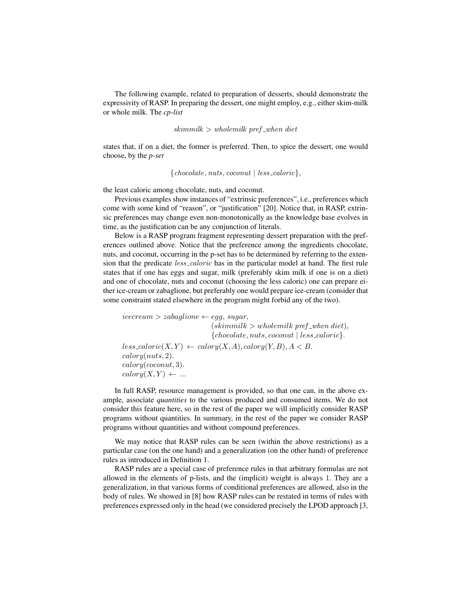The following example, related to preparation of desserts, should demonstrate the expressivity of RASP. In preparing the dessert, one might employ, e.g., either skim-milk or whole milk. The *cp-list*

 $skimmilk > whole milk\ pref<sub>-when</sub> diet$ 

states that, if on a diet, the former is preferred. Then, to spice the dessert, one would choose, by the *p-set*

 ${chocolate, nuts, cocomut | less-caloric},$ 

the least caloric among chocolate, nuts, and coconut.

Previous examples show instances of "extrinsic preferences", i.e., preferences which come with some kind of "reason", or "justification" [20]. Notice that, in RASP, extrinsic preferences may change even non-monotonically as the knowledge base evolves in time, as the justification can be any conjunction of literals.

Below is a RASP program fragment representing dessert preparation with the preferences outlined above. Notice that the preference among the ingredients chocolate, nuts, and coconut, occurring in the p-set has to be determined by referring to the extension that the predicate *less\_caloric* has in the particular model at hand. The first rule states that if one has eggs and sugar, milk (preferably skim milk if one is on a diet) and one of chocolate, nuts and coconut (choosing the less caloric) one can prepare either ice-cream or zabaglione, but preferably one would prepare ice-cream (consider that some constraint stated elsewhere in the program might forbid any of the two).

 $icecream > zabaglione \leftarrow egg, sugar,$  $(skimmilk > wholemilk\,\,pref\_when\,\,diet),$  ${chocolate, nuts, cocomut | less-caloric}.$  $less\_{calor}(\mathbf{X}, \mathbf{Y}) \leftarrow \mathit{calory}(\mathbf{X}, \mathbf{A}), \mathit{calory}(\mathbf{Y}, \mathbf{B}), \mathbf{A} < \mathbf{B}.$ calory(nuts, 2). calory(coconut, 3).  $calory(X, Y) \leftarrow ...$ 

In full RASP, resource management is provided, so that one can, in the above example, associate *quantities* to the various produced and consumed items. We do not consider this feature here, so in the rest of the paper we will implicitly consider RASP programs without quantities. In summary, in the rest of the paper we consider RASP programs without quantities and without compound preferences.

We may notice that RASP rules can be seen (within the above restrictions) as a particular case (on the one hand) and a generalization (on the other hand) of preference rules as introduced in Definition 1.

RASP rules are a special case of preference rules in that arbitrary formulas are not allowed in the elements of p-lists, and the (implicit) weight is always 1. They are a generalization, in that various forms of conditional preferences are allowed, also in the body of rules. We showed in [8] how RASP rules can be restated in terms of rules with preferences expressed only in the head (we considered precisely the LPOD approach [3,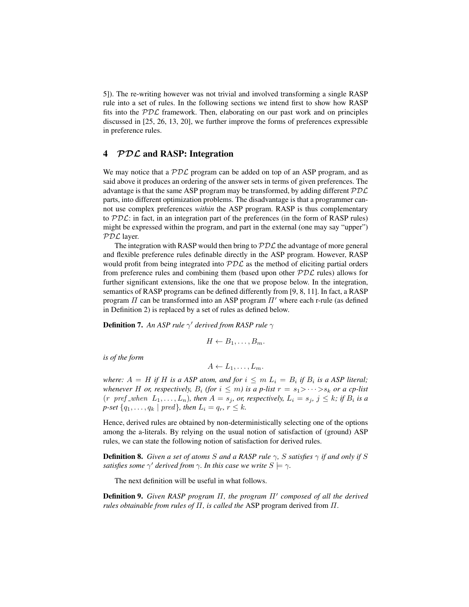5]). The re-writing however was not trivial and involved transforming a single RASP rule into a set of rules. In the following sections we intend first to show how RASP fits into the  $PDL$  framework. Then, elaborating on our past work and on principles discussed in [25, 26, 13, 20], we further improve the forms of preferences expressible in preference rules.

#### 4 *PDC* and RASP: Integration

We may notice that a  $PDL$  program can be added on top of an ASP program, and as said above it produces an ordering of the answer sets in terms of given preferences. The advantage is that the same ASP program may be transformed, by adding different  $PDC$ parts, into different optimization problems. The disadvantage is that a programmer cannot use complex preferences *within* the ASP program. RASP is thus complementary to  $PDL$ : in fact, in an integration part of the preferences (in the form of RASP rules) might be expressed within the program, and part in the external (one may say "upper") PDL layer.

The integration with RASP would then bring to  $PDL$  the advantage of more general and flexible preference rules definable directly in the ASP program. However, RASP would profit from being integrated into  $PDL$  as the method of eliciting partial orders from preference rules and combining them (based upon other  $PDL$  rules) allows for further significant extensions, like the one that we propose below. In the integration, semantics of RASP programs can be defined differently from [9, 8, 11]. In fact, a RASP program  $\Pi$  can be transformed into an ASP program  $\Pi'$  where each r-rule (as defined in Definition 2) is replaced by a set of rules as defined below.

**Definition 7.** An ASP rule  $\gamma'$  derived from RASP rule  $\gamma$ 

$$
H \leftarrow B_1, \ldots, B_m.
$$

*is of the form*

$$
A \leftarrow L_1, \ldots, L_m.
$$

*where:*  $A = H$  *if*  $H$  *is a ASP atom, and for*  $i \leq m L_i = B_i$  *if*  $B_i$  *is a ASP literal; whenever H or, respectively,*  $B_i$  *(for*  $i \leq m$ *) is a p-list*  $r = s_1 > \cdots > s_k$  *or a cp-list*  $(r \text{pref\_when } L_1, \ldots, L_n)$ , then  $A = s_j$ , or, respectively,  $L_i = s_j$ ,  $j \leq k$ ; if  $B_i$  is a *p-set*  $\{q_1, ..., q_k \mid \text{pred}\}$ *, then*  $L_i = q_r$ *,*  $r \leq k$ *.* 

Hence, derived rules are obtained by non-deterministically selecting one of the options among the a-literals. By relying on the usual notion of satisfaction of (ground) ASP rules, we can state the following notion of satisfaction for derived rules.

**Definition 8.** *Given a set of atoms* S *and a RASP rule*  $\gamma$ *,* S *satisfies*  $\gamma$  *if and only if* S satisfies some  $\gamma'$  derived from  $\gamma$ . In this case we write  $S \models \gamma$ .

The next definition will be useful in what follows.

**Definition 9.** Given RASP program Π, the program Π' composed of all the derived *rules obtainable from rules of* Π*, is called the* ASP program derived from Π*.*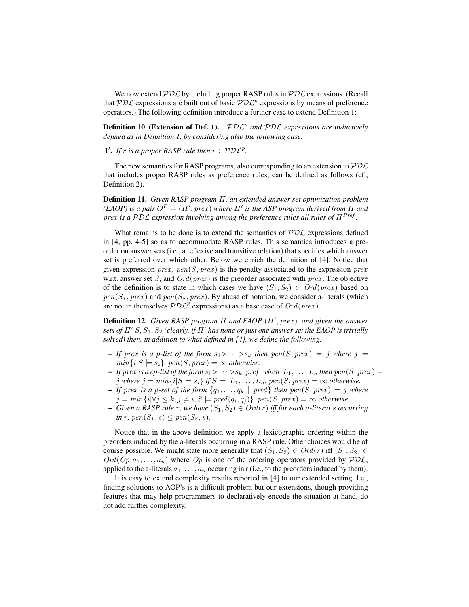We now extend  $PDL$  by including proper RASP rules in  $PDL$  expressions. (Recall that  $PDL$  expressions are built out of basic  $PDL<sup>p</sup>$  expressions by means of preference operators.) The following definition introduce a further case to extend Definition 1:

**Definition 10 (Extension of Def. 1).**  $PDL^p$  and  $PDL$  expressions are inductively *defined as in Definition 1, by considering also the following case:*

1'. If r is a proper RASP rule then  $r \in \mathcal{PDL}^p$ .

The new semantics for RASP programs, also corresponding to an extension to  $PDC$ that includes proper RASP rules as preference rules, can be defined as follows (cf., Definition 2).

Definition 11. *Given RASP program* Π*, an extended answer set optimization problem (EAOP) is a pair*  $O^E = (\Pi', prex)$  *where*  $\Pi'$  *is the ASP program derived from*  $\Pi$  *and* prex is a PDL expression involving among the preference rules all rules of  $\Pi^{Pref}$ .

What remains to be done is to extend the semantics of  $PDL$  expressions defined in [4, pp. 4-5] so as to accommodate RASP rules. This semantics introduces a preorder on answer sets (i.e., a reflexive and transitive relation) that specifies which answer set is preferred over which other. Below we enrich the definition of [4]. Notice that given expression *prex*,  $pen(S, prex)$  is the penalty associated to the expression *prex* w.r.t. answer set S, and  $Ord(prex)$  is the preorder associated with  $prev$ . The objective of the definition is to state in which cases we have  $(S_1, S_2) \in Ord(prev)$  based on  $pen(S_1, prev)$  and  $pen(S_2, prev)$ . By abuse of notation, we consider a-literals (which are not in themselves  $\mathcal{PDL}^p$  expressions) as a base case of  $Ord(prex)$ .

**Definition 12.** *Given RASP program*  $\Pi$  *and EAOP*  $(\Pi', prex)$ *, and given the answer sets of*  $\Pi'$  S,  $S_1$ ,  $S_2$  *(clearly, if*  $\Pi'$  *has none or just one answer set the EAOP is trivially solved) then, in addition to what defined in [4], we define the following.*

- $\blacksquare$  *If* prex is a p-list of the form  $s_1$ > $\cdots$ > $s_k$  then  $pen(S, prec) = j$  where  $j = j$  $min\{i|S \models s_i\}$ ,  $pen(S, prev) = \infty$  otherwise.
- $-I$ *f* prex *is a cp-list of the form*  $s_1 > \cdots > s_k$  pref when  $L_1, \ldots, L_n$  *then*  $pen(S, prex) =$ *j* where  $j = min\{i|S \models s_i\}$  if  $S \models L_1, \ldots, L_n$ . pen $(S, prev) = \infty$  otherwise.
- $-I$ *f* prex is a p-set of the form  $\{q_1, \ldots, q_k \mid \text{pred}\}\$  then  $\text{pen}(S, \text{prex}) = j$  where  $j = min\{i | \forall j \leq k, j \neq i, S \models pred(q_i, q_j)\}$ .  $pen(S, prec) = \infty$  otherwise.
- $\blacktriangle$  *Given a RASP rule r, we have*  $(S_1, S_2) \in Ord(r)$  *iff for each a-literal s occurring in* r, pen $(S_1, s) \leq pen(S_2, s)$ .

Notice that in the above definition we apply a lexicographic ordering within the preorders induced by the a-literals occurring in a RASP rule. Other choices would be of course possible. We might state more generally that  $(S_1, S_2) \in Ord(r)$  iff  $(S_1, S_2) \in$  $Ord(Op \ a_1, \ldots, a_n)$  where  $Op$  is one of the ordering operators provided by  $PDL$ , applied to the a-literals  $a_1, \ldots, a_n$  occurring in r (i.e., to the preorders induced by them).

It is easy to extend complexity results reported in [4] to our extended setting. I.e., finding solutions to AOP's is a difficult problem but our extensions, though providing features that may help programmers to declaratively encode the situation at hand, do not add further complexity.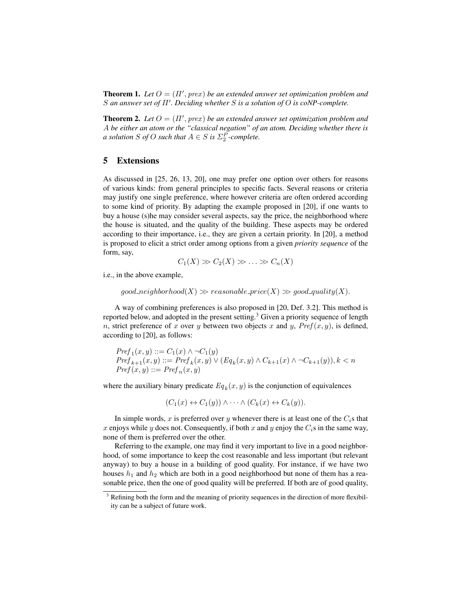**Theorem 1.** Let  $O = (\Pi', \text{prex})$  be an extended answer set optimization problem and **S** an answer set of Π'. Deciding whether S is a solution of O is coNP-complete.

**Theorem 2.** Let  $O = (\Pi', prex)$  be an extended answer set optimization problem and A *be either an atom or the "classical negation" of an atom. Deciding whether there is a* solution *S* of *O* such that  $A \in S$  is  $\Sigma_2^P$ -complete.

## 5 Extensions

As discussed in [25, 26, 13, 20], one may prefer one option over others for reasons of various kinds: from general principles to specific facts. Several reasons or criteria may justify one single preference, where however criteria are often ordered according to some kind of priority. By adapting the example proposed in [20], if one wants to buy a house (s)he may consider several aspects, say the price, the neighborhood where the house is situated, and the quality of the building. These aspects may be ordered according to their importance, i.e., they are given a certain priority. In [20], a method is proposed to elicit a strict order among options from a given *priority sequence* of the form, say,

$$
C_1(X) \gg C_2(X) \gg \ldots \gg C_n(X)
$$

i.e., in the above example,

 $good\_neighborhood(X) \gg reasonable\_price(X) \gg good\_quality(X).$ 

A way of combining preferences is also proposed in [20, Def. 3.2]. This method is reported below, and adopted in the present setting.<sup>3</sup> Given a priority sequence of length n, strict preference of x over y between two objects x and y,  $Pref(x, y)$ , is defined, according to [20], as follows:

$$
Pref_1(x, y) ::= C_1(x) \land \neg C_1(y)
$$
  
\n
$$
Pref_{k+1}(x, y) ::= Pref_k(x, y) \lor (Eq_k(x, y) \land C_{k+1}(x) \land \neg C_{k+1}(y)), k < n
$$
  
\n
$$
Pref(x, y) ::= Pref_n(x, y)
$$

where the auxiliary binary predicate  $Eq_k(x, y)$  is the conjunction of equivalences

$$
(C_1(x) \leftrightarrow C_1(y)) \land \cdots \land (C_k(x) \leftrightarrow C_k(y)).
$$

In simple words, x is preferred over y whenever there is at least one of the  $C_i$ s that x enjoys while y does not. Consequently, if both x and y enjoy the  $C_i$ s in the same way, none of them is preferred over the other.

Referring to the example, one may find it very important to live in a good neighborhood, of some importance to keep the cost reasonable and less important (but relevant anyway) to buy a house in a building of good quality. For instance, if we have two houses  $h_1$  and  $h_2$  which are both in a good neighborhood but none of them has a reasonable price, then the one of good quality will be preferred. If both are of good quality,

 $3$  Refining both the form and the meaning of priority sequences in the direction of more flexibility can be a subject of future work.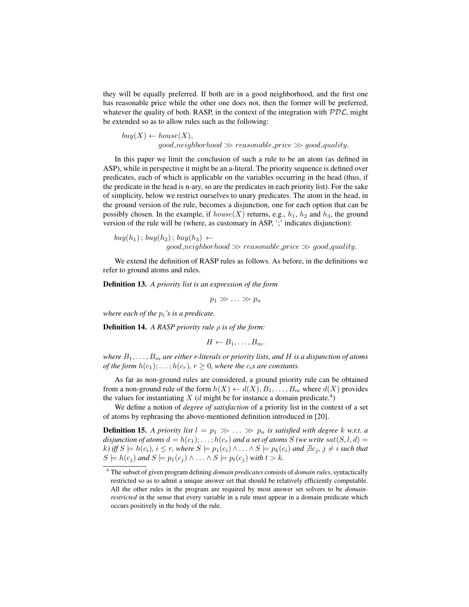they will be equally preferred. If both are in a good neighborhood, and the first one has reasonable price while the other one does not, then the former will be preferred, whatever the quality of both. RASP, in the context of the integration with  $PDL$ , might be extended so as to allow rules such as the following:

 $buy(X) \leftarrow house(X),$  $\text{good\_neighborhood} \gg \text{reasonable\_price} \gg \text{good\_quality}.$ 

In this paper we limit the conclusion of such a rule to be an atom (as defined in ASP), while in perspective it might be an a-literal. The priority sequence is defined over predicates, each of which is applicable on the variables occurring in the head (thus, if the predicate in the head is n-ary, so are the predicates in each priority list). For the sake of simplicity, below we restrict ourselves to unary predicates. The atom in the head, in the ground version of the rule, becomes a disjunction, one for each option that can be possibly chosen. In the example, if  $house(X)$  returns, e.g.,  $h_1$ ,  $h_2$  and  $h_3$ , the ground version of the rule will be (where, as customary in ASP, ';' indicates disjunction):

 $buy(h_1); buy(h_2); buy(h_3) \leftarrow$  $good\_neighborhood \gg reasonable\_price \gg good\_quality.$ 

We extend the definition of RASP rules as follows. As before, in the definitions we refer to ground atoms and rules.

Definition 13. *A priority list is an expression of the form*

 $p_1 \gg \ldots \gg p_n$ 

*where each of the*  $p_i$ *'s is a predicate.* 

Definition 14. *A RASP priority rule* ρ *is of the form:*

$$
H \leftarrow B_1, \ldots, B_m.
$$

*where* B1, . . . , B<sup>m</sup> *are either r-literals or priority lists, and* H *is a disjunction of atoms of the form*  $h(c_1); \ldots; h(c_r)$ ,  $r \geq 0$ , where the  $c_i$ *s are constants.* 

As far as non-ground rules are considered, a ground priority rule can be obtained from a non-ground rule of the form  $h(X) \leftarrow d(X), B_1, \ldots, B_m$  where  $d(X)$  provides the values for instantiating X (d might be for instance a domain predicate.<sup>4</sup>)

We define a notion of *degree of satisfaction* of a priority list in the context of a set of atoms by rephrasing the above-mentioned definition introduced in [20].

**Definition 15.** A priority list  $l = p_1 \gg \ldots \gg p_n$  is satisfied with degree k w.r.t. a *disjunction of atoms*  $d = h(c_1); \ldots; h(c_r)$  *and a set of atoms* S *(we write sat* $(S, l, d)$ )  $k$ *)* iff  $S \models h(c_i)$ ,  $i \leq r$ , where  $S \models p_1(c_i) \land \ldots \land S \models p_k(c_i)$  and  $\exists c_j$ ,  $j \neq i$  such that  $S \models h(c_j)$  and  $S \models p_1(c_j) \land \ldots \land S \models p_t(c_j)$  with  $t > k$ .

<sup>4</sup> The subset of given program defining *domain predicates* consists of *domain rules*, syntactically restricted so as to admit a unique answer set that should be relatively efficiently computable. All the other rules in the program are required by most answer set solvers to be *domainrestricted* in the sense that every variable in a rule must appear in a domain predicate which occurs positively in the body of the rule.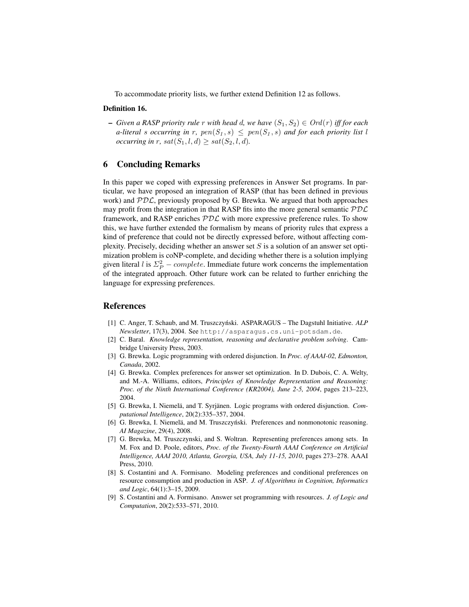To accommodate priority lists, we further extend Definition 12 as follows.

#### Definition 16.

 $−$  *Given a RASP priority rule* r *with head d, we have*  $(S_1, S_2) \in Ord(r)$  *iff for each a-literal* s *occurring* in r,  $pen(S_1, s) \leq pen(S_1, s)$  and for each priority list l *occurring in* r,  $sat(S_1, l, d) \ge sat(S_2, l, d)$ .

### 6 Concluding Remarks

In this paper we coped with expressing preferences in Answer Set programs. In particular, we have proposed an integration of RASP (that has been defined in previous work) and  $PDL$ , previously proposed by G. Brewka. We argued that both approaches may profit from the integration in that RASP fits into the more general semantic  $PDC$ framework, and RASP enriches  $PDL$  with more expressive preference rules. To show this, we have further extended the formalism by means of priority rules that express a kind of preference that could not be directly expressed before, without affecting complexity. Precisely, deciding whether an answer set  $S$  is a solution of an answer set optimization problem is coNP-complete, and deciding whether there is a solution implying given literal l is  $\Sigma_P^2$  – *complete*. Immediate future work concerns the implementation of the integrated approach. Other future work can be related to further enriching the language for expressing preferences.

#### References

- [1] C. Anger, T. Schaub, and M. Truszczyński. ASPARAGUS The Dagstuhl Initiative. ALP *Newsletter*, 17(3), 2004. See http://asparagus.cs.uni-potsdam.de.
- [2] C. Baral. *Knowledge representation, reasoning and declarative problem solving*. Cambridge University Press, 2003.
- [3] G. Brewka. Logic programming with ordered disjunction. In *Proc. of AAAI-02, Edmonton, Canada*, 2002.
- [4] G. Brewka. Complex preferences for answer set optimization. In D. Dubois, C. A. Welty, and M.-A. Williams, editors, *Principles of Knowledge Representation and Reasoning: Proc. of the Ninth International Conference (KR2004), June 2-5, 2004*, pages 213–223, 2004.
- [5] G. Brewka, I. Niemelä, and T. Syrjänen. Logic programs with ordered disjunction. *Computational Intelligence*, 20(2):335–357, 2004.
- [6] G. Brewka, I. Niemelä, and M. Truszczyński. Preferences and nonmonotonic reasoning. *AI Magazine*, 29(4), 2008.
- [7] G. Brewka, M. Truszczynski, and S. Woltran. Representing preferences among sets. In M. Fox and D. Poole, editors, *Proc. of the Twenty-Fourth AAAI Conference on Artificial Intelligence, AAAI 2010, Atlanta, Georgia, USA, July 11-15, 2010*, pages 273–278. AAAI Press, 2010.
- [8] S. Costantini and A. Formisano. Modeling preferences and conditional preferences on resource consumption and production in ASP. *J. of Algorithms in Cognition, Informatics and Logic*, 64(1):3–15, 2009.
- [9] S. Costantini and A. Formisano. Answer set programming with resources. *J. of Logic and Computation*, 20(2):533–571, 2010.